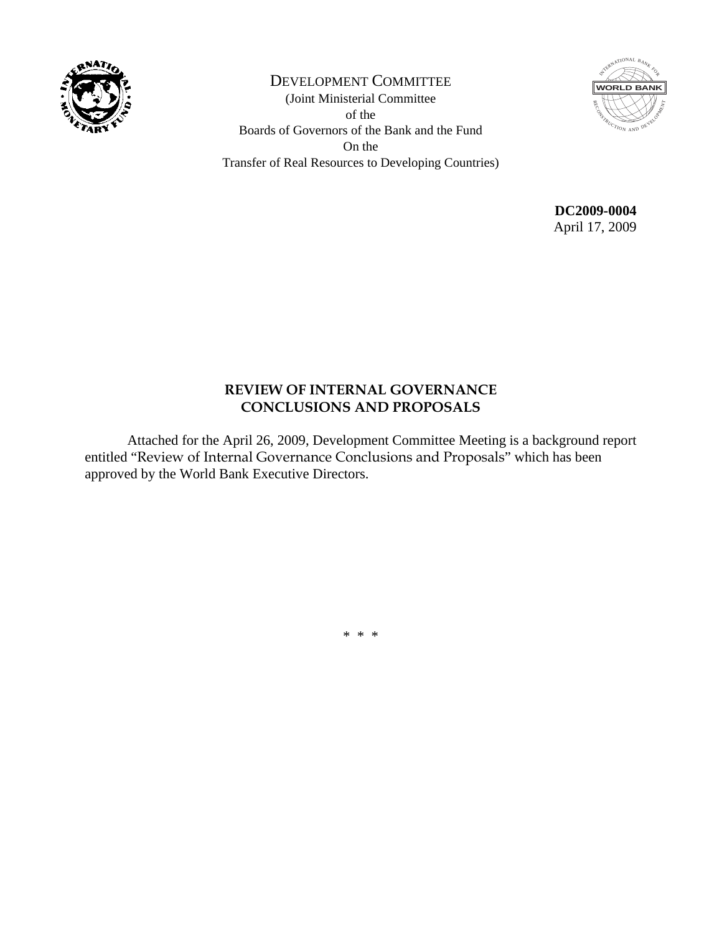

DEVELOPMENT COMMITTEE (Joint Ministerial Committee of the Boards of Governors of the Bank and the Fund On the Transfer of Real Resources to Developing Countries)



**DC2009-0004**  April 17, 2009

#### **REVIEW OF INTERNAL GOVERNANCE CONCLUSIONS AND PROPOSALS**

 Attached for the April 26, 2009, Development Committee Meeting is a background report entitled "Review of Internal Governance Conclusions and Proposals" which has been approved by the World Bank Executive Directors.

\* \* \*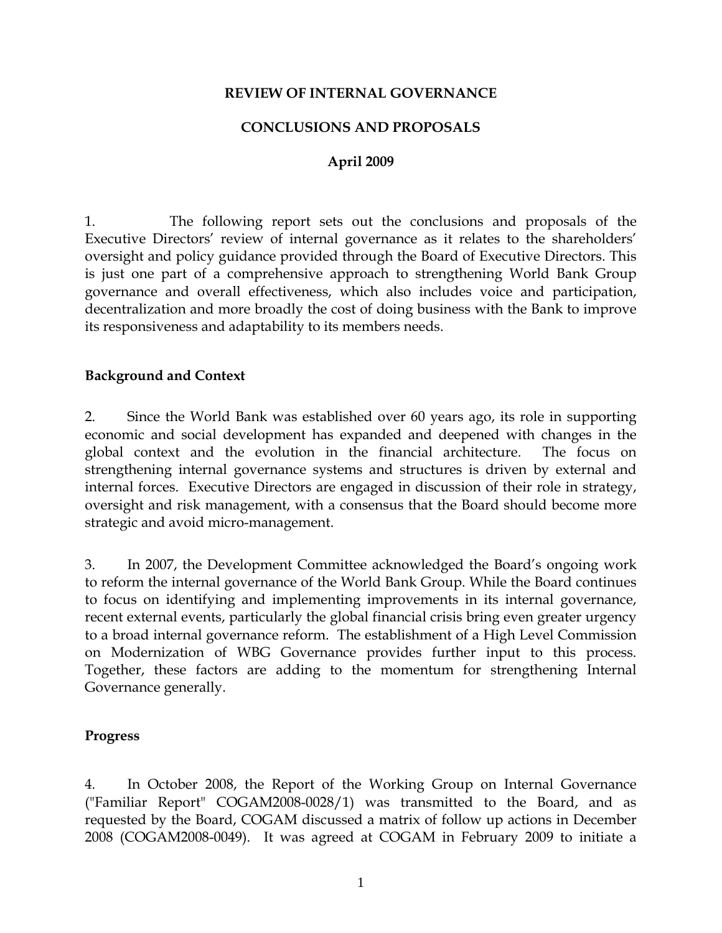#### **REVIEW OF INTERNAL GOVERNANCE**

#### **CONCLUSIONS AND PROPOSALS**

#### **April 2009**

1. The following report sets out the conclusions and proposals of the Executive Directors' review of internal governance as it relates to the shareholders' oversight and policy guidance provided through the Board of Executive Directors. This is just one part of a comprehensive approach to strengthening World Bank Group governance and overall effectiveness, which also includes voice and participation, decentralization and more broadly the cost of doing business with the Bank to improve its responsiveness and adaptability to its members needs.

#### **Background and Context**

2. Since the World Bank was established over 60 years ago, its role in supporting economic and social development has expanded and deepened with changes in the global context and the evolution in the financial architecture. The focus on strengthening internal governance systems and structures is driven by external and internal forces. Executive Directors are engaged in discussion of their role in strategy, oversight and risk management, with a consensus that the Board should become more strategic and avoid micro-management.

3. In 2007, the Development Committee acknowledged the Board's ongoing work to reform the internal governance of the World Bank Group. While the Board continues to focus on identifying and implementing improvements in its internal governance, recent external events, particularly the global financial crisis bring even greater urgency to a broad internal governance reform. The establishment of a High Level Commission on Modernization of WBG Governance provides further input to this process. Together, these factors are adding to the momentum for strengthening Internal Governance generally.

#### **Progress**

4. In October 2008, the Report of the Working Group on Internal Governance ("Familiar Report" COGAM2008-0028/1) was transmitted to the Board, and as requested by the Board, COGAM discussed a matrix of follow up actions in December 2008 (COGAM2008-0049). It was agreed at COGAM in February 2009 to initiate a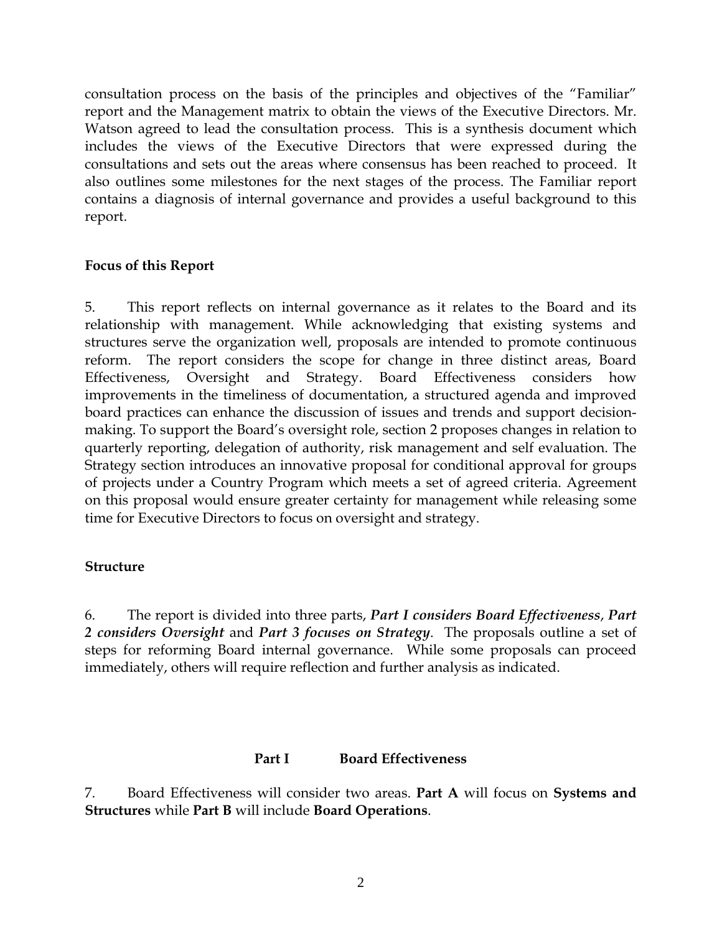consultation process on the basis of the principles and objectives of the "Familiar" report and the Management matrix to obtain the views of the Executive Directors. Mr. Watson agreed to lead the consultation process. This is a synthesis document which includes the views of the Executive Directors that were expressed during the consultations and sets out the areas where consensus has been reached to proceed. It also outlines some milestones for the next stages of the process. The Familiar report contains a diagnosis of internal governance and provides a useful background to this report.

#### **Focus of this Report**

5. This report reflects on internal governance as it relates to the Board and its relationship with management. While acknowledging that existing systems and structures serve the organization well, proposals are intended to promote continuous reform. The report considers the scope for change in three distinct areas, Board Effectiveness, Oversight and Strategy. Board Effectiveness considers how improvements in the timeliness of documentation, a structured agenda and improved board practices can enhance the discussion of issues and trends and support decisionmaking. To support the Board's oversight role, section 2 proposes changes in relation to quarterly reporting, delegation of authority, risk management and self evaluation. The Strategy section introduces an innovative proposal for conditional approval for groups of projects under a Country Program which meets a set of agreed criteria. Agreement on this proposal would ensure greater certainty for management while releasing some time for Executive Directors to focus on oversight and strategy.

#### **Structure**

6. The report is divided into three parts, *Part I considers Board Effectiveness*, *Part 2 considers Oversight* and *Part 3 focuses on Strategy*. The proposals outline a set of steps for reforming Board internal governance. While some proposals can proceed immediately, others will require reflection and further analysis as indicated.

#### **Part I Board Effectiveness**

7. Board Effectiveness will consider two areas. **Part A** will focus on **Systems and Structures** while **Part B** will include **Board Operations**.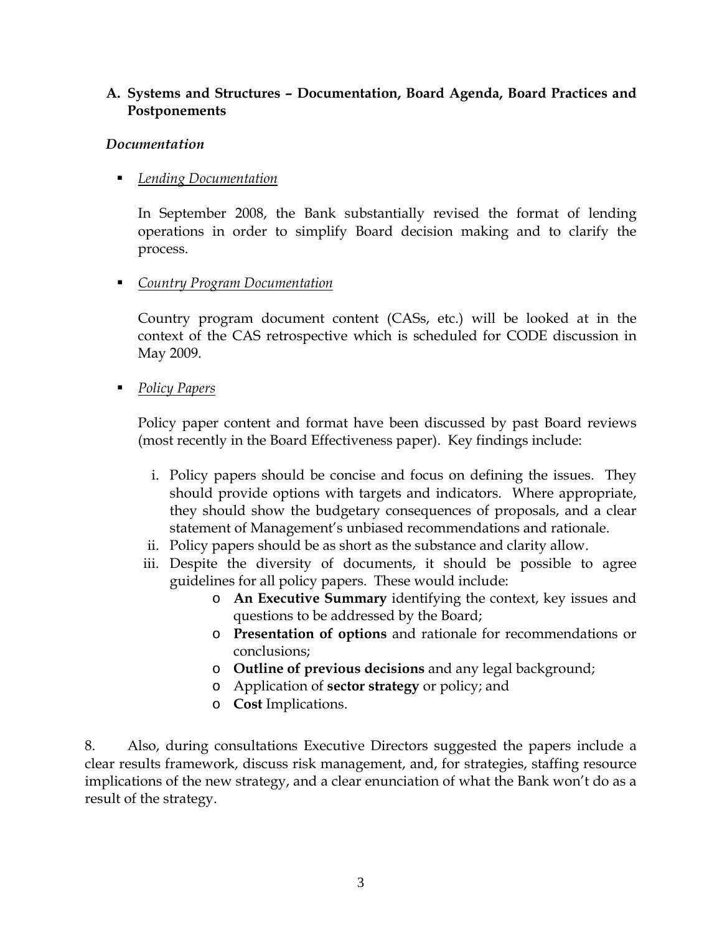#### **A. Systems and Structures – Documentation, Board Agenda, Board Practices and Postponements**

#### *Documentation*

### *Lending Documentation*

In September 2008, the Bank substantially revised the format of lending operations in order to simplify Board decision making and to clarify the process.

## *Country Program Documentation*

Country program document content (CASs, etc.) will be looked at in the context of the CAS retrospective which is scheduled for CODE discussion in May 2009.

*Policy Papers*

Policy paper content and format have been discussed by past Board reviews (most recently in the Board Effectiveness paper). Key findings include:

- i. Policy papers should be concise and focus on defining the issues. They should provide options with targets and indicators. Where appropriate, they should show the budgetary consequences of proposals, and a clear statement of Management's unbiased recommendations and rationale.
- ii. Policy papers should be as short as the substance and clarity allow.
- iii. Despite the diversity of documents, it should be possible to agree guidelines for all policy papers. These would include:
	- o **An Executive Summary** identifying the context, key issues and questions to be addressed by the Board;
	- o **Presentation of options** and rationale for recommendations or conclusions;
	- o **Outline of previous decisions** and any legal background;
	- o Application of **sector strategy** or policy; and
	- o **Cost** Implications.

8. Also, during consultations Executive Directors suggested the papers include a clear results framework, discuss risk management, and, for strategies, staffing resource implications of the new strategy, and a clear enunciation of what the Bank won't do as a result of the strategy.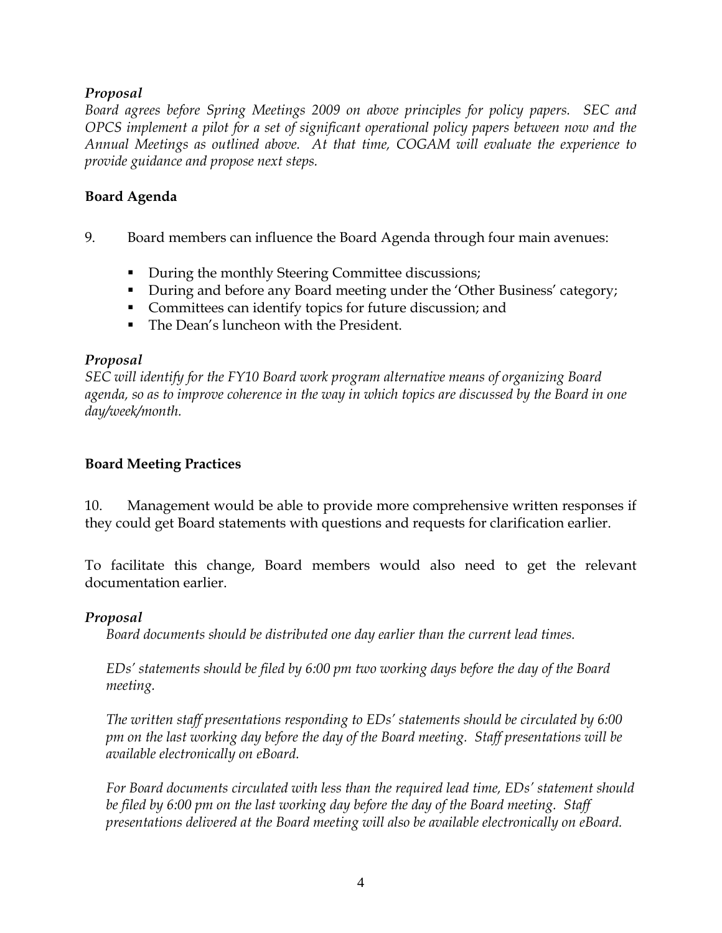#### *Proposal*

*Board agrees before Spring Meetings 2009 on above principles for policy papers. SEC and OPCS implement a pilot for a set of significant operational policy papers between now and the Annual Meetings as outlined above. At that time, COGAM will evaluate the experience to provide guidance and propose next steps.* 

#### **Board Agenda**

- 9. Board members can influence the Board Agenda through four main avenues:
	- During the monthly Steering Committee discussions;
	- During and before any Board meeting under the 'Other Business' category;
	- Committees can identify topics for future discussion; and
	- The Dean's luncheon with the President.

#### *Proposal*

*SEC will identify for the FY10 Board work program alternative means of organizing Board agenda, so as to improve coherence in the way in which topics are discussed by the Board in one day/week/month.* 

#### **Board Meeting Practices**

10. Management would be able to provide more comprehensive written responses if they could get Board statements with questions and requests for clarification earlier.

To facilitate this change, Board members would also need to get the relevant documentation earlier.

#### *Proposal*

*Board documents should be distributed one day earlier than the current lead times.* 

*EDs' statements should be filed by 6:00 pm two working days before the day of the Board meeting.* 

*The written staff presentations responding to EDs' statements should be circulated by 6:00 pm on the last working day before the day of the Board meeting. Staff presentations will be available electronically on eBoard.* 

*For Board documents circulated with less than the required lead time, EDs' statement should be filed by 6:00 pm on the last working day before the day of the Board meeting. Staff presentations delivered at the Board meeting will also be available electronically on eBoard.*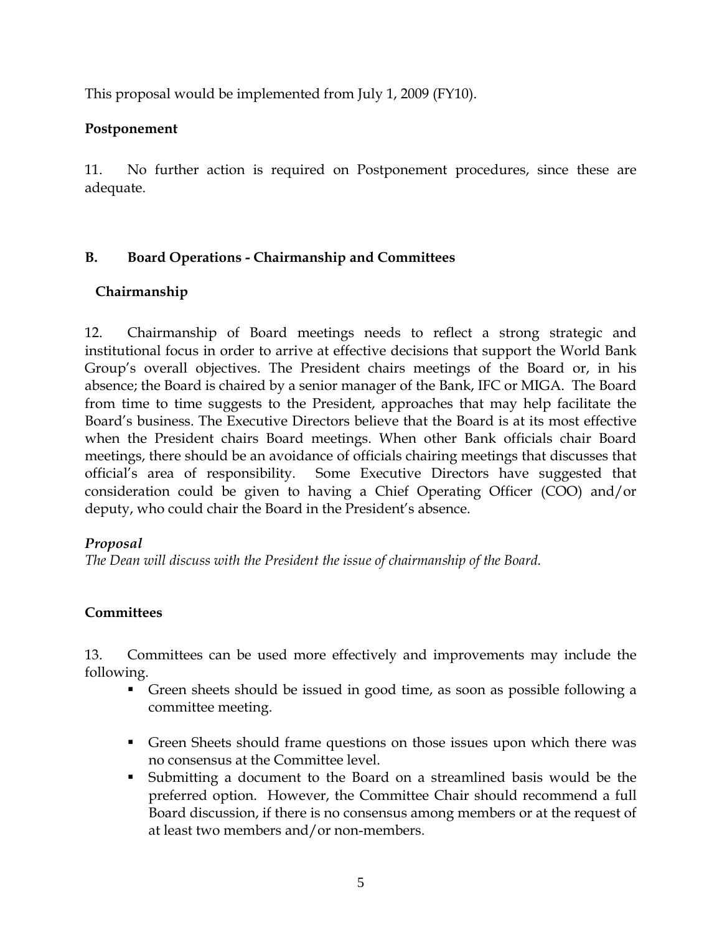This proposal would be implemented from July 1, 2009 (FY10).

#### **Postponement**

11. No further action is required on Postponement procedures, since these are adequate.

#### **B. Board Operations - Chairmanship and Committees**

#### **Chairmanship**

12. Chairmanship of Board meetings needs to reflect a strong strategic and institutional focus in order to arrive at effective decisions that support the World Bank Group's overall objectives. The President chairs meetings of the Board or, in his absence; the Board is chaired by a senior manager of the Bank, IFC or MIGA. The Board from time to time suggests to the President, approaches that may help facilitate the Board's business. The Executive Directors believe that the Board is at its most effective when the President chairs Board meetings. When other Bank officials chair Board meetings, there should be an avoidance of officials chairing meetings that discusses that official's area of responsibility. Some Executive Directors have suggested that consideration could be given to having a Chief Operating Officer (COO) and/or deputy, who could chair the Board in the President's absence.

#### *Proposal*

*The Dean will discuss with the President the issue of chairmanship of the Board.* 

#### **Committees**

13. Committees can be used more effectively and improvements may include the following.

- Green sheets should be issued in good time, as soon as possible following a committee meeting.
- Green Sheets should frame questions on those issues upon which there was no consensus at the Committee level.
- Submitting a document to the Board on a streamlined basis would be the preferred option. However, the Committee Chair should recommend a full Board discussion, if there is no consensus among members or at the request of at least two members and/or non-members.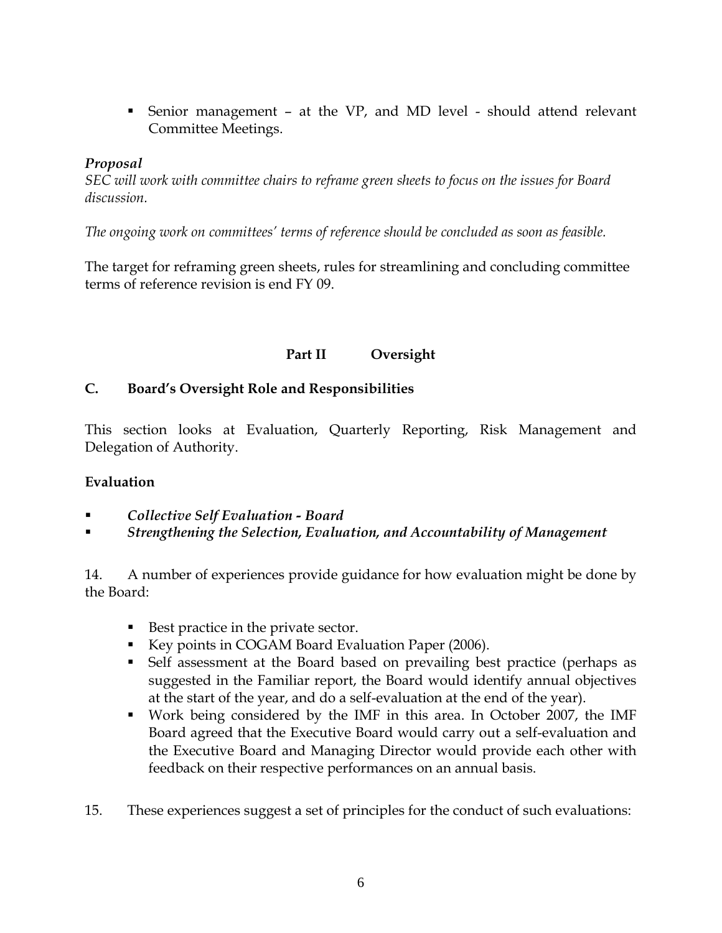Senior management – at the VP, and MD level - should attend relevant Committee Meetings.

#### *Proposal*

*SEC will work with committee chairs to reframe green sheets to focus on the issues for Board discussion.* 

*The ongoing work on committees' terms of reference should be concluded as soon as feasible.* 

The target for reframing green sheets, rules for streamlining and concluding committee terms of reference revision is end FY 09.

## **Part II Oversight**

#### **C. Board's Oversight Role and Responsibilities**

This section looks at Evaluation, Quarterly Reporting, Risk Management and Delegation of Authority.

#### **Evaluation**

- *Collective Self Evaluation Board*
- *Strengthening the Selection, Evaluation, and Accountability of Management*

14. A number of experiences provide guidance for how evaluation might be done by the Board:

- Best practice in the private sector.
- Key points in COGAM Board Evaluation Paper (2006).
- Self assessment at the Board based on prevailing best practice (perhaps as suggested in the Familiar report, the Board would identify annual objectives at the start of the year, and do a self-evaluation at the end of the year).
- Work being considered by the IMF in this area. In October 2007, the IMF Board agreed that the Executive Board would carry out a self-evaluation and the Executive Board and Managing Director would provide each other with feedback on their respective performances on an annual basis.
- 15. These experiences suggest a set of principles for the conduct of such evaluations: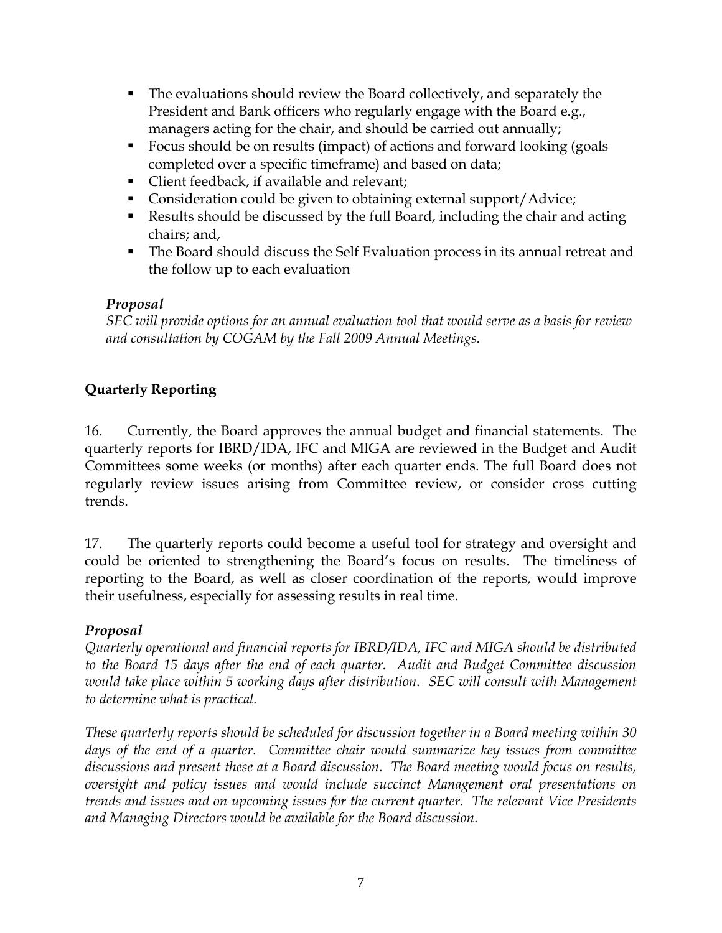- The evaluations should review the Board collectively, and separately the President and Bank officers who regularly engage with the Board e.g., managers acting for the chair, and should be carried out annually;
- Focus should be on results (impact) of actions and forward looking (goals completed over a specific timeframe) and based on data;
- **Client feedback, if available and relevant;**
- Consideration could be given to obtaining external support/Advice;
- Results should be discussed by the full Board, including the chair and acting chairs; and,
- The Board should discuss the Self Evaluation process in its annual retreat and the follow up to each evaluation

## *Proposal*

*SEC will provide options for an annual evaluation tool that would serve as a basis for review and consultation by COGAM by the Fall 2009 Annual Meetings.* 

## **Quarterly Reporting**

16. Currently, the Board approves the annual budget and financial statements. The quarterly reports for IBRD/IDA, IFC and MIGA are reviewed in the Budget and Audit Committees some weeks (or months) after each quarter ends. The full Board does not regularly review issues arising from Committee review, or consider cross cutting trends.

17. The quarterly reports could become a useful tool for strategy and oversight and could be oriented to strengthening the Board's focus on results. The timeliness of reporting to the Board, as well as closer coordination of the reports, would improve their usefulness, especially for assessing results in real time.

#### *Proposal*

*Quarterly operational and financial reports for IBRD/IDA, IFC and MIGA should be distributed to the Board 15 days after the end of each quarter. Audit and Budget Committee discussion would take place within 5 working days after distribution. SEC will consult with Management to determine what is practical.* 

*These quarterly reports should be scheduled for discussion together in a Board meeting within 30 days of the end of a quarter. Committee chair would summarize key issues from committee discussions and present these at a Board discussion. The Board meeting would focus on results, oversight and policy issues and would include succinct Management oral presentations on trends and issues and on upcoming issues for the current quarter. The relevant Vice Presidents and Managing Directors would be available for the Board discussion.*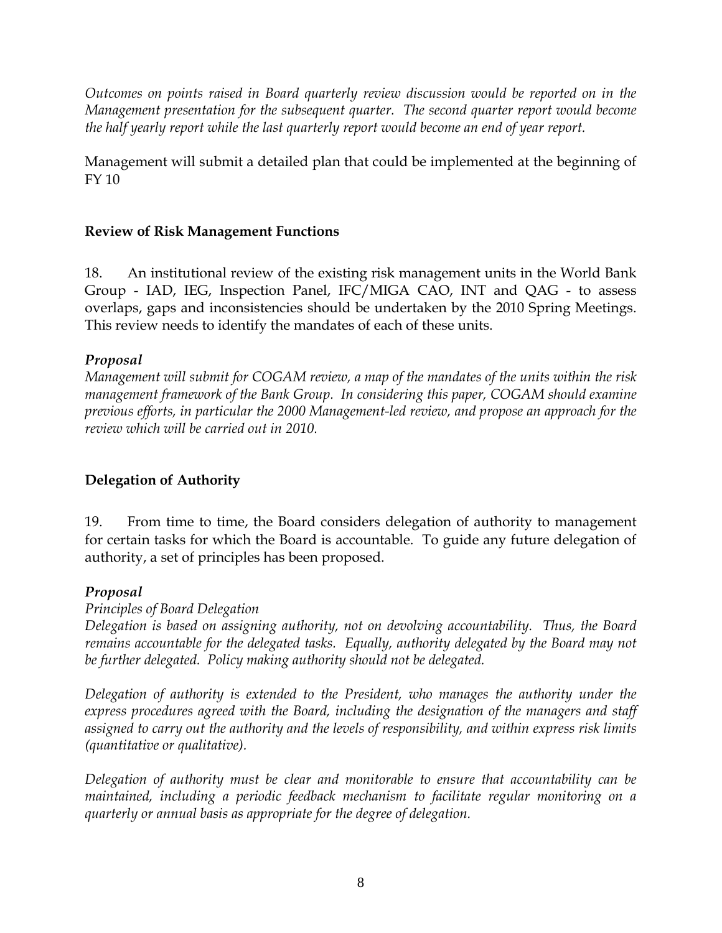*Outcomes on points raised in Board quarterly review discussion would be reported on in the Management presentation for the subsequent quarter. The second quarter report would become the half yearly report while the last quarterly report would become an end of year report.* 

Management will submit a detailed plan that could be implemented at the beginning of FY 10

#### **Review of Risk Management Functions**

18. An institutional review of the existing risk management units in the World Bank Group - IAD, IEG, Inspection Panel, IFC/MIGA CAO, INT and QAG - to assess overlaps, gaps and inconsistencies should be undertaken by the 2010 Spring Meetings. This review needs to identify the mandates of each of these units.

#### *Proposal*

*Management will submit for COGAM review, a map of the mandates of the units within the risk management framework of the Bank Group. In considering this paper, COGAM should examine previous efforts, in particular the 2000 Management-led review, and propose an approach for the review which will be carried out in 2010.* 

#### **Delegation of Authority**

19. From time to time, the Board considers delegation of authority to management for certain tasks for which the Board is accountable. To guide any future delegation of authority, a set of principles has been proposed.

#### *Proposal*

#### *Principles of Board Delegation*

*Delegation is based on assigning authority, not on devolving accountability. Thus, the Board remains accountable for the delegated tasks. Equally, authority delegated by the Board may not be further delegated. Policy making authority should not be delegated.* 

*Delegation of authority is extended to the President, who manages the authority under the express procedures agreed with the Board, including the designation of the managers and staff assigned to carry out the authority and the levels of responsibility, and within express risk limits (quantitative or qualitative).* 

*Delegation of authority must be clear and monitorable to ensure that accountability can be maintained, including a periodic feedback mechanism to facilitate regular monitoring on a quarterly or annual basis as appropriate for the degree of delegation.*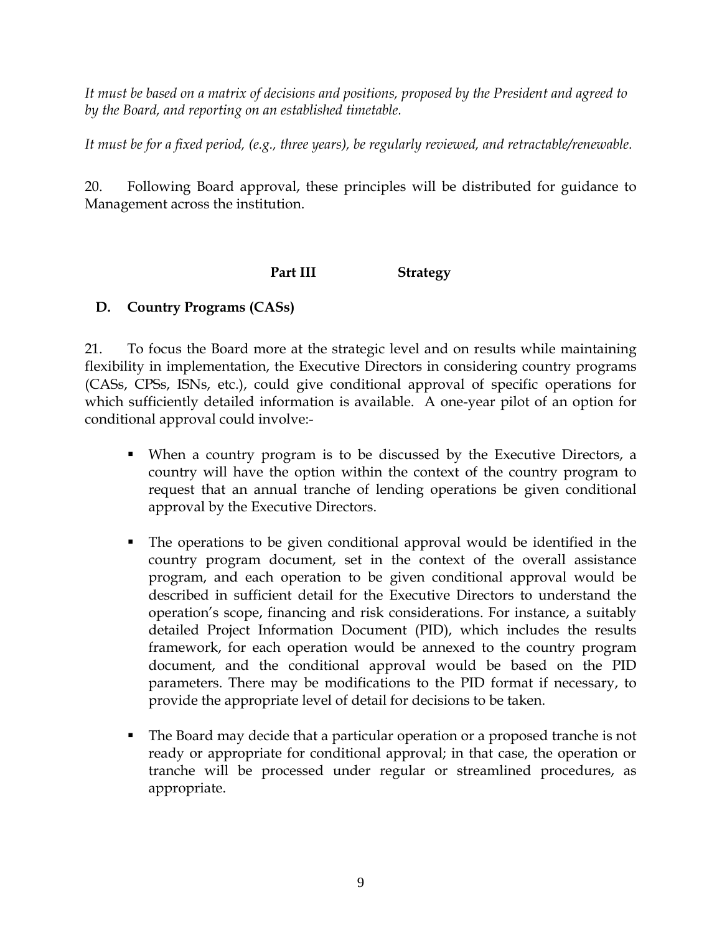*It must be based on a matrix of decisions and positions, proposed by the President and agreed to by the Board, and reporting on an established timetable.* 

*It must be for a fixed period, (e.g., three years), be regularly reviewed, and retractable/renewable.* 

20. Following Board approval, these principles will be distributed for guidance to Management across the institution.

## **Part III Strategy**

## **D. Country Programs (CASs)**

21. To focus the Board more at the strategic level and on results while maintaining flexibility in implementation, the Executive Directors in considering country programs (CASs, CPSs, ISNs, etc.), could give conditional approval of specific operations for which sufficiently detailed information is available. A one-year pilot of an option for conditional approval could involve:-

- When a country program is to be discussed by the Executive Directors, a country will have the option within the context of the country program to request that an annual tranche of lending operations be given conditional approval by the Executive Directors.
- The operations to be given conditional approval would be identified in the country program document, set in the context of the overall assistance program, and each operation to be given conditional approval would be described in sufficient detail for the Executive Directors to understand the operation's scope, financing and risk considerations. For instance, a suitably detailed Project Information Document (PID), which includes the results framework, for each operation would be annexed to the country program document, and the conditional approval would be based on the PID parameters. There may be modifications to the PID format if necessary, to provide the appropriate level of detail for decisions to be taken.
- The Board may decide that a particular operation or a proposed tranche is not ready or appropriate for conditional approval; in that case, the operation or tranche will be processed under regular or streamlined procedures, as appropriate.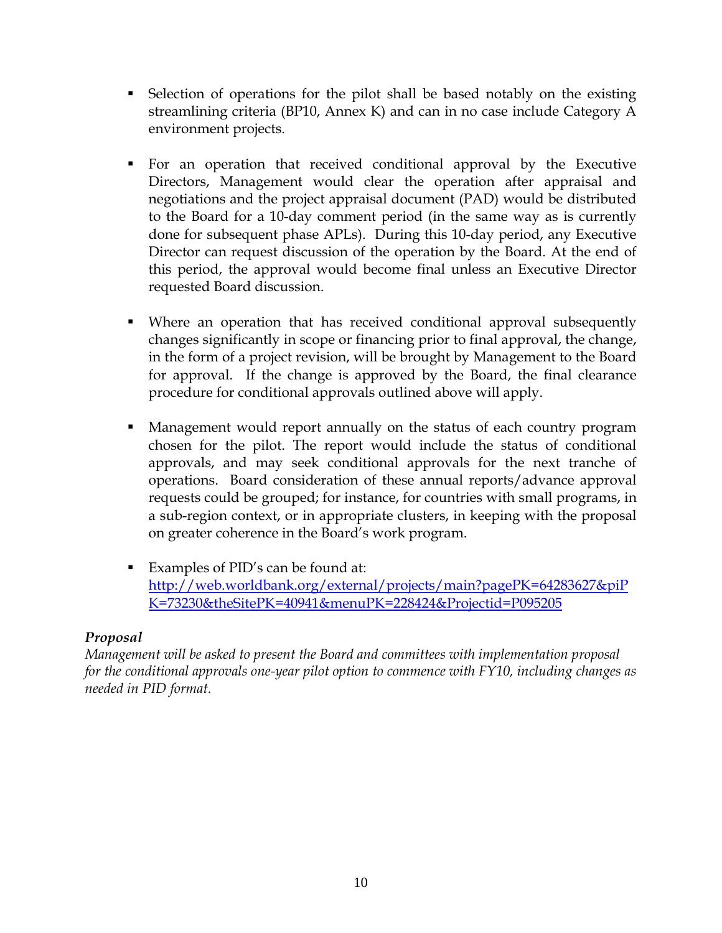- Selection of operations for the pilot shall be based notably on the existing streamlining criteria (BP10, Annex K) and can in no case include Category A environment projects.
- For an operation that received conditional approval by the Executive Directors, Management would clear the operation after appraisal and negotiations and the project appraisal document (PAD) would be distributed to the Board for a 10-day comment period (in the same way as is currently done for subsequent phase APLs). During this 10-day period, any Executive Director can request discussion of the operation by the Board. At the end of this period, the approval would become final unless an Executive Director requested Board discussion.
- Where an operation that has received conditional approval subsequently changes significantly in scope or financing prior to final approval, the change, in the form of a project revision, will be brought by Management to the Board for approval. If the change is approved by the Board, the final clearance procedure for conditional approvals outlined above will apply.
- Management would report annually on the status of each country program chosen for the pilot. The report would include the status of conditional approvals, and may seek conditional approvals for the next tranche of operations. Board consideration of these annual reports/advance approval requests could be grouped; for instance, for countries with small programs, in a sub-region context, or in appropriate clusters, in keeping with the proposal on greater coherence in the Board's work program.
- Examples of PID's can be found at: http://web.worldbank.org/external/projects/main?pagePK=64283627&piP K=73230&theSitePK=40941&menuPK=228424&Projectid=P095205

#### *Proposal*

*Management will be asked to present the Board and committees with implementation proposal for the conditional approvals one-year pilot option to commence with FY10, including changes as needed in PID format.*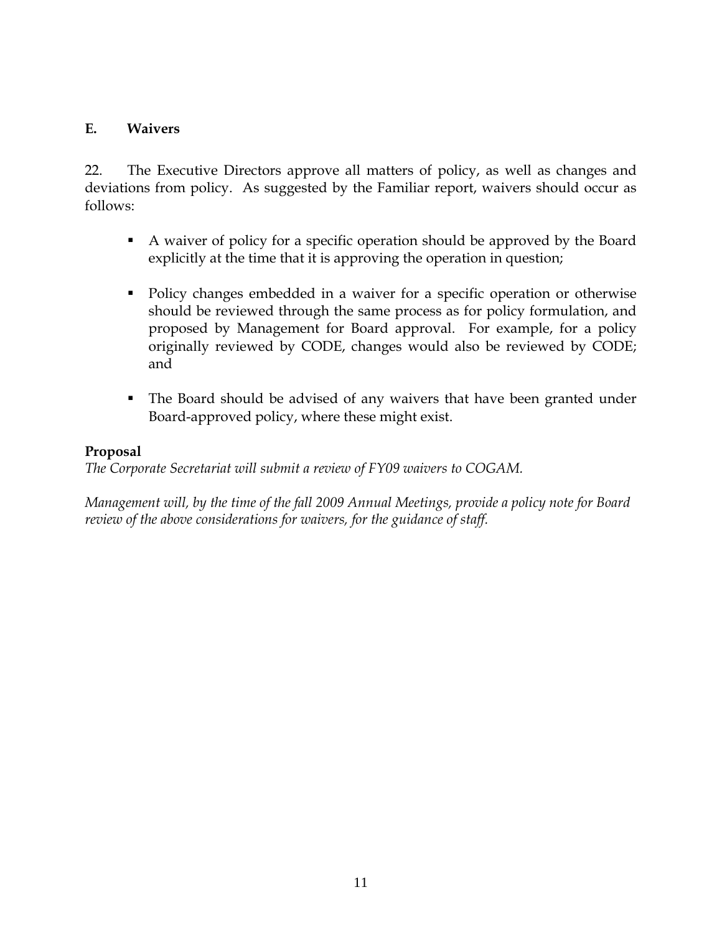#### **E. Waivers**

22. The Executive Directors approve all matters of policy, as well as changes and deviations from policy. As suggested by the Familiar report, waivers should occur as follows:

- A waiver of policy for a specific operation should be approved by the Board explicitly at the time that it is approving the operation in question;
- Policy changes embedded in a waiver for a specific operation or otherwise should be reviewed through the same process as for policy formulation, and proposed by Management for Board approval. For example, for a policy originally reviewed by CODE, changes would also be reviewed by CODE; and
- The Board should be advised of any waivers that have been granted under Board-approved policy, where these might exist.

#### **Proposal**

*The Corporate Secretariat will submit a review of FY09 waivers to COGAM.* 

*Management will, by the time of the fall 2009 Annual Meetings, provide a policy note for Board review of the above considerations for waivers, for the guidance of staff.*